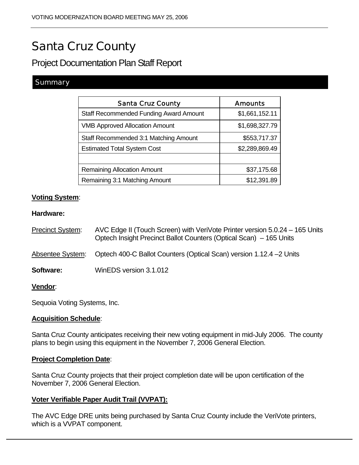# Santa Cruz County

Project Documentation Plan Staff Report

## **Summary**

| <b>Santa Cruz County</b>                      | <b>Amounts</b> |
|-----------------------------------------------|----------------|
| <b>Staff Recommended Funding Award Amount</b> | \$1,661,152.11 |
| <b>VMB Approved Allocation Amount</b>         | \$1,698,327.79 |
| Staff Recommended 3:1 Matching Amount         | \$553,717.37   |
| <b>Estimated Total System Cost</b>            | \$2,289,869.49 |
|                                               |                |
| <b>Remaining Allocation Amount</b>            | \$37,175.68    |
| Remaining 3:1 Matching Amount                 | \$12,391.89    |

## **Voting System**:

#### **Hardware:**

| <b>Precinct System:</b> | AVC Edge II (Touch Screen) with VeriVote Printer version 5.0.24 - 165 Units<br>Optech Insight Precinct Ballot Counters (Optical Scan) – 165 Units |
|-------------------------|---------------------------------------------------------------------------------------------------------------------------------------------------|
|                         | Absentee System: Optech 400-C Ballot Counters (Optical Scan) version 1.12.4 -2 Units                                                              |
| Software:               | WinEDS version 3.1.012                                                                                                                            |
|                         |                                                                                                                                                   |

#### **Vendor**:

Sequoia Voting Systems, Inc.

## **Acquisition Schedule**:

Santa Cruz County anticipates receiving their new voting equipment in mid-July 2006. The county plans to begin using this equipment in the November 7, 2006 General Election.

#### **Project Completion Date**:

Santa Cruz County projects that their project completion date will be upon certification of the November 7, 2006 General Election.

## **Voter Verifiable Paper Audit Trail (VVPAT):**

The AVC Edge DRE units being purchased by Santa Cruz County include the VeriVote printers, which is a VVPAT component.